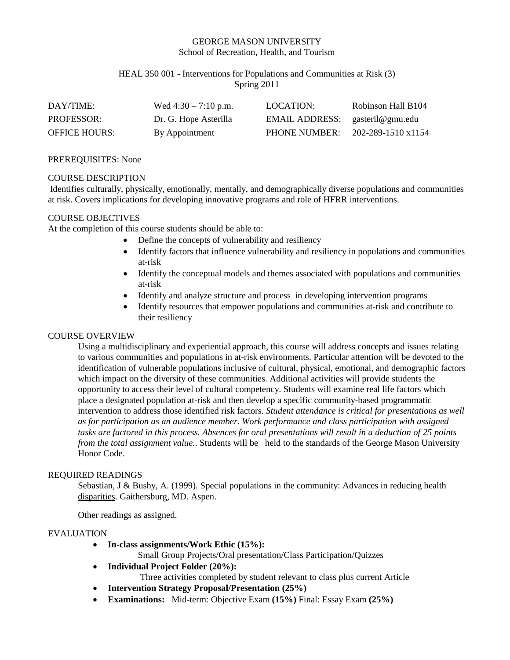## GEORGE MASON UNIVERSITY School of Recreation, Health, and Tourism

## HEAL 350 001 - Interventions for Populations and Communities at Risk (3) Spring 2011

| DAY/TIME:            | Wed $4:30 - 7:10$ p.m. | LOCATION:                       | Robinson Hall B104 |
|----------------------|------------------------|---------------------------------|--------------------|
| <b>PROFESSOR:</b>    | Dr. G. Hope Asterilla  | EMAIL ADDRESS: gasteril@gmu.edu |                    |
| <b>OFFICE HOURS:</b> | By Appointment         | PHONE NUMBER:                   | 202-289-1510 x1154 |

#### PREREQUISITES: None

#### COURSE DESCRIPTION

Identifies culturally, physically, emotionally, mentally, and demographically diverse populations and communities at risk. Covers implications for developing innovative programs and role of HFRR interventions.

#### COURSE OBJECTIVES

At the completion of this course students should be able to:

- Define the concepts of vulnerability and resiliency
- Identify factors that influence vulnerability and resiliency in populations and communities at-risk
- Identify the conceptual models and themes associated with populations and communities at-risk
- Identify and analyze structure and process in developing intervention programs
- Identify resources that empower populations and communities at-risk and contribute to their resiliency

## COURSE OVERVIEW

Using a multidisciplinary and experiential approach, this course will address concepts and issues relating to various communities and populations in at-risk environments. Particular attention will be devoted to the identification of vulnerable populations inclusive of cultural, physical, emotional, and demographic factors which impact on the diversity of these communities. Additional activities will provide students the opportunity to access their level of cultural competency. Students will examine real life factors which place a designated population at-risk and then develop a specific community-based programmatic intervention to address those identified risk factors. *Student attendance is critical for presentations as well as for participation as an audience member. Work performance and class participation with assigned tasks are factored in this process. Absences for oral presentations will result in a deduction of 25 points from the total assignment value.*. Students will be held to the standards of the George Mason University Honor Code.

## REQUIRED READINGS

Sebastian, J & Bushy, A. (1999). Special populations in the community: Advances in reducing health disparities. Gaithersburg, MD. Aspen.

Other readings as assigned.

#### EVALUATION

• **In-class assignments/Work Ethic (15%):**

Small Group Projects/Oral presentation/Class Participation/Quizzes

- **Individual Project Folder (20%):**
	- Three activities completed by student relevant to class plus current Article
- **Intervention Strategy Proposal/Presentation (25%)**
- **Examinations:** Mid-term: Objective Exam **(15%)** Final: Essay Exam **(25%)**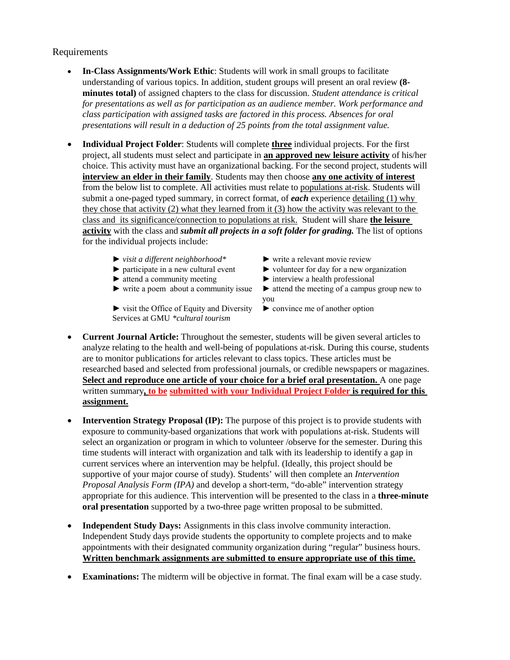# Requirements

- **In-Class Assignments/Work Ethic**: Students will work in small groups to facilitate understanding of various topics. In addition, student groups will present an oral review **(8 minutes total)** of assigned chapters to the class for discussion. *Student attendance is critical for presentations as well as for participation as an audience member. Work performance and class participation with assigned tasks are factored in this process. Absences for oral presentations will result in a deduction of 25 points from the total assignment value.*
- **Individual Project Folder**: Students will complete **three** individual projects. For the first project, all students must select and participate in **an approved new leisure activity** of his/her choice. This activity must have an organizational backing. For the second project, students will **interview an elder in their family**. Students may then choose **any one activity of interest** from the below list to complete. All activities must relate to populations at-risk. Students will submit a one-paged typed summary, in correct format, of *each* experience detailing (1) why they chose that activity (2) what they learned from it (3) how the activity was relevant to the class and its significance/connection to populations at risk. Student will share **the leisure activity** with the class and *submit all projects in a soft folder for grading.* The list of options for the individual projects include:
	- ► *visit a different neighborhood\** ► write a relevant movie review
	-
	-
	-

► visit the Office of Equity and Diversity ► convince me of another option Services at GMU *\*cultural tourism*

- 
- ► participate in a new cultural event ► volunteer for day for a new organization
- ► attend a community meeting ► interview a health professional
- ► write a poem about a community issue ► attend the meeting of a campus group new to you
	-
- **Current Journal Article:** Throughout the semester, students will be given several articles to analyze relating to the health and well-being of populations at-risk. During this course, students are to monitor publications for articles relevant to class topics. These articles must be researched based and selected from professional journals, or credible newspapers or magazines. **Select and reproduce one article of your choice for a brief oral presentation.** A one page written summary**, to be submitted with your Individual Project Folder is required for this assignment.**
- **Intervention Strategy Proposal (IP):** The purpose of this project is to provide students with exposure to community-based organizations that work with populations at-risk. Students will select an organization or program in which to volunteer /observe for the semester. During this time students will interact with organization and talk with its leadership to identify a gap in current services where an intervention may be helpful. (Ideally, this project should be supportive of your major course of study). Students' will then complete an *Intervention Proposal Analysis Form (IPA)* and develop a short-term, "do-able" intervention strategy appropriate for this audience. This intervention will be presented to the class in a **three-minute oral presentation** supported by a two-three page written proposal to be submitted.
- **Independent Study Days:** Assignments in this class involve community interaction. Independent Study days provide students the opportunity to complete projects and to make appointments with their designated community organization during "regular" business hours. **Written benchmark assignments are submitted to ensure appropriate use of this time.**
- **Examinations:** The midterm will be objective in format. The final exam will be a case study.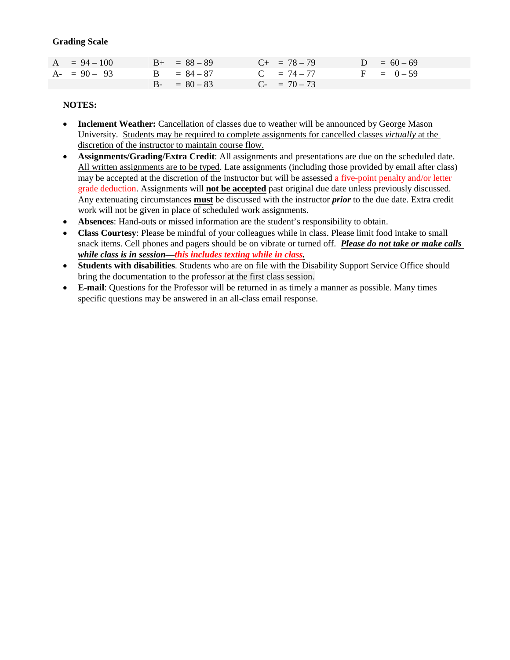## **Grading Scale**

| $A = 94 - 100$ | $B_{+} = 88 - 89$ | $C_{+}$ = 78 – 79 | $D = 60 - 69$ |
|----------------|-------------------|-------------------|---------------|
| $A - 90 - 93$  | $B = 84 - 87$     | $C = 74 - 77$     | $F = 0-59$    |
|                | $B - = 80 - 83$   | $C_{-}$ = 70 – 73 |               |

## **NOTES:**

- **Inclement Weather:** Cancellation of classes due to weather will be announced by George Mason University. Students may be required to complete assignments for cancelled classes *virtually* at the discretion of the instructor to maintain course flow.
- **Assignments/Grading/Extra Credit**: All assignments and presentations are due on the scheduled date. All written assignments are to be typed. Late assignments (including those provided by email after class) may be accepted at the discretion of the instructor but will be assessed a five-point penalty and/or letter grade deduction. Assignments will **not be accepted** past original due date unless previously discussed. Any extenuating circumstances **must** be discussed with the instructor *prior* to the due date. Extra credit work will not be given in place of scheduled work assignments.
- **Absences**: Hand-outs or missed information are the student's responsibility to obtain.
- **Class Courtesy**: Please be mindful of your colleagues while in class. Please limit food intake to small snack items. Cell phones and pagers should be on vibrate or turned off. *Please do not take or make calls while class is in session—this includes texting while in class.*
- **Students with disabilities**. Students who are on file with the Disability Support Service Office should bring the documentation to the professor at the first class session.
- **E-mail**: Questions for the Professor will be returned in as timely a manner as possible. Many times specific questions may be answered in an all-class email response.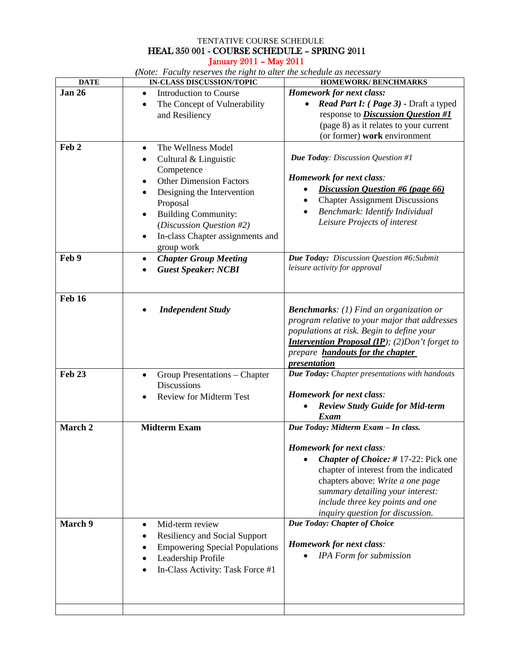## TENTATIVE COURSE SCHEDULE HEAL 350 001 - COURSE SCHEDULE – SPRING 2011 January 2011 – May 2011

*(Note: Faculty reserves the right to alter the schedule as necessary*

| <b>DATE</b>      | ne: I activity reserves the right to alter the scheatile as hecessary<br>IN-CLASS DISCUSSION/TOPIC                                                                                                                                                                            | <b>HOMEWORK/BENCHMARKS</b>                                                                                                                                                                                                                                                                                     |  |
|------------------|-------------------------------------------------------------------------------------------------------------------------------------------------------------------------------------------------------------------------------------------------------------------------------|----------------------------------------------------------------------------------------------------------------------------------------------------------------------------------------------------------------------------------------------------------------------------------------------------------------|--|
| <b>Jan 26</b>    | Introduction to Course<br>$\bullet$<br>The Concept of Vulnerability<br>$\bullet$<br>and Resiliency                                                                                                                                                                            | Homework for next class:<br>Read Part I: (Page 3) - Draft a typed<br>$\bullet$<br>response to <i>Discussion Question</i> #1<br>(page 8) as it relates to your current<br>(or former) work environment                                                                                                          |  |
| Feb <sub>2</sub> | The Wellness Model<br>٠<br>Cultural & Linguistic<br>$\bullet$<br>Competence<br><b>Other Dimension Factors</b><br>Designing the Intervention<br>Proposal<br><b>Building Community:</b><br>٠<br>(Discussion Question #2)<br>In-class Chapter assignments and<br>٠<br>group work | <b>Due Today:</b> Discussion Question #1<br><b>Homework for next class:</b><br>Discussion Question #6 (page 66)<br><b>Chapter Assignment Discussions</b><br>Benchmark: Identify Individual<br>Leisure Projects of interest                                                                                     |  |
| Feb 9            | <b>Chapter Group Meeting</b><br>$\bullet$<br><b>Guest Speaker: NCBI</b>                                                                                                                                                                                                       | Due Today: Discussion Question #6: Submit<br>leisure activity for approval                                                                                                                                                                                                                                     |  |
| <b>Feb 16</b>    | <b>Independent Study</b>                                                                                                                                                                                                                                                      | <b>Benchmarks:</b> (1) Find an organization or<br>program relative to your major that addresses<br>populations at risk. Begin to define your<br><b>Intervention Proposal (IP);</b> (2) Don't forget to<br>prepare <b>handouts for the chapter</b><br>presentation                                              |  |
| <b>Feb 23</b>    | Group Presentations - Chapter<br>$\bullet$<br><b>Discussions</b><br><b>Review for Midterm Test</b><br>$\bullet$                                                                                                                                                               | Due Today: Chapter presentations with handouts<br><b>Homework for next class:</b><br><b>Review Study Guide for Mid-term</b><br>Exam                                                                                                                                                                            |  |
| March 2          | <b>Midterm Exam</b>                                                                                                                                                                                                                                                           | Due Today: Midterm Exam - In class.<br><b>Homework for next class:</b><br><b>Chapter of Choice: #17-22: Pick one</b><br>chapter of interest from the indicated<br>chapters above: Write a one page<br>summary detailing your interest:<br>include three key points and one<br>inquiry question for discussion. |  |
| March 9          | Mid-term review<br>$\bullet$<br><b>Resiliency and Social Support</b><br><b>Empowering Special Populations</b><br>Leadership Profile<br>In-Class Activity: Task Force #1                                                                                                       | Due Today: Chapter of Choice<br><b>Homework for next class:</b><br><b>IPA</b> Form for submission                                                                                                                                                                                                              |  |
|                  |                                                                                                                                                                                                                                                                               |                                                                                                                                                                                                                                                                                                                |  |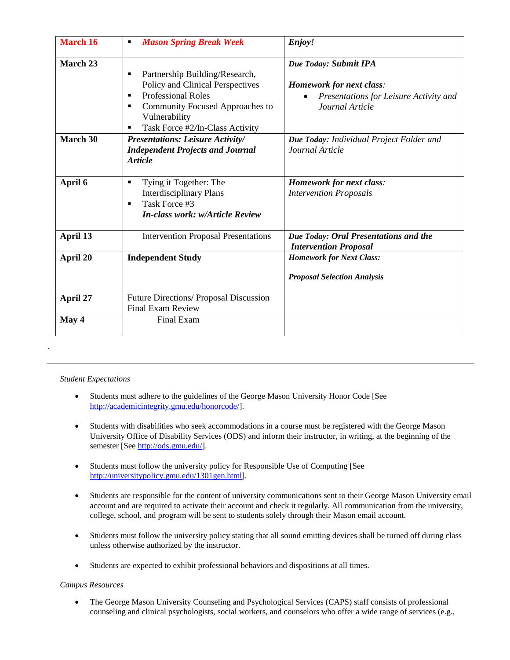| <b>March 16</b> | <b>Mason Spring Break Week</b><br>٠                                                                                                                                                              | Enjoy!                                                                                                                |
|-----------------|--------------------------------------------------------------------------------------------------------------------------------------------------------------------------------------------------|-----------------------------------------------------------------------------------------------------------------------|
| March 23        | Partnership Building/Research,<br>Policy and Clinical Perspectives<br><b>Professional Roles</b><br>٠<br>Community Focused Approaches to<br>٠<br>Vulnerability<br>Task Force #2/In-Class Activity | Due Today: Submit IPA<br><b>Homework for next class:</b><br>Presentations for Leisure Activity and<br>Journal Article |
| March 30        | Presentations: Leisure Activity/<br><b>Independent Projects and Journal</b><br><b>Article</b>                                                                                                    | Due Today: Individual Project Folder and<br>Journal Article                                                           |
| April 6         | Tying it Together: The<br>٠<br><b>Interdisciplinary Plans</b><br>Task Force #3<br>٠<br><b>In-class work: w/Article Review</b>                                                                    | <b>Homework for next class:</b><br><b>Intervention Proposals</b>                                                      |
| April 13        | <b>Intervention Proposal Presentations</b>                                                                                                                                                       | Due Today: Oral Presentations and the<br><b>Intervention Proposal</b>                                                 |
| April 20        | <b>Independent Study</b>                                                                                                                                                                         | <b>Homework for Next Class:</b><br><b>Proposal Selection Analysis</b>                                                 |
| April 27        | Future Directions/ Proposal Discussion<br><b>Final Exam Review</b>                                                                                                                               |                                                                                                                       |
| May 4           | Final Exam                                                                                                                                                                                       |                                                                                                                       |

#### *Student Expectations*

*.*

- Students must adhere to the guidelines of the George Mason University Honor Code [See [http://academicintegrity.gmu.edu/honorcode/\]](http://academicintegrity.gmu.edu/honorcode/).
- Students with disabilities who seek accommodations in a course must be registered with the George Mason University Office of Disability Services (ODS) and inform their instructor, in writing, at the beginning of the semester [See [http://ods.gmu.edu/\]](http://ods.gmu.edu/).
- Students must follow the university policy for Responsible Use of Computing [See [http://universitypolicy.gmu.edu/1301gen.html\]](http://universitypolicy.gmu.edu/1301gen.html).
- Students are responsible for the content of university communications sent to their George Mason University email account and are required to activate their account and check it regularly. All communication from the university, college, school, and program will be sent to students solely through their Mason email account.
- Students must follow the university policy stating that all sound emitting devices shall be turned off during class unless otherwise authorized by the instructor.
- Students are expected to exhibit professional behaviors and dispositions at all times.

#### *Campus Resources*

• The George Mason University Counseling and Psychological Services (CAPS) staff consists of professional counseling and clinical psychologists, social workers, and counselors who offer a wide range of services (e.g.,